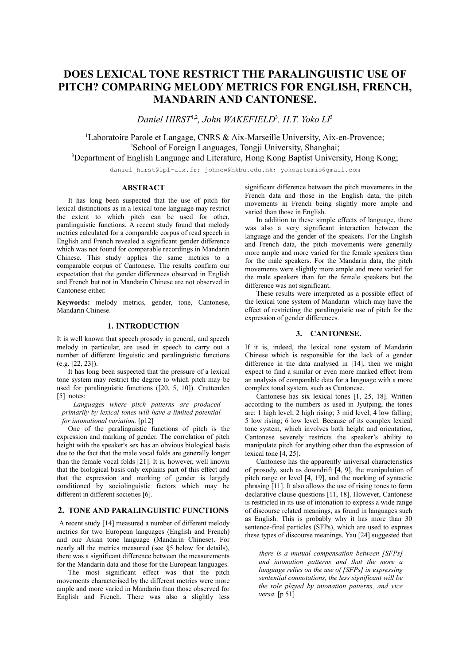# **DOES LEXICAL TONE RESTRICT THE PARALINGUISTIC USE OF PITCH? COMPARING MELODY METRICS FOR ENGLISH, FRENCH, MANDARIN AND CANTONESE.**

*Daniel HIRST*1,2 *, John WAKEFIELD*<sup>3</sup> *, H.T. Yoko LI*<sup>3</sup>

<sup>1</sup>Laboratoire Parole et Langage, CNRS & Aix-Marseille University, Aix-en-Provence; 2 School of Foreign Languages, Tongji University, Shanghai; <sup>3</sup>Department of English Language and Literature, Hong Kong Baptist University, Hong Kong;

daniel hirst@lpl-aix.fr; johncw@hkbu.edu.hk; yokoartemis@gmail.com

### **ABSTRACT**

It has long been suspected that the use of pitch for lexical distinctions as in a lexical tone language may restrict the extent to which pitch can be used for other, paralinguistic functions. A recent study found that melody metrics calculated for a comparable corpus of read speech in English and French revealed a significant gender difference which was not found for comparable recordings in Mandarin Chinese. This study applies the same metrics to a comparable corpus of Cantonese. The results confirm our expectation that the gender differences observed in English and French but not in Mandarin Chinese are not observed in Cantonese either.

**Keywords:** melody metrics, gender, tone, Cantonese, Mandarin Chinese.

### **1. INTRODUCTION**

It is well known that speech prosody in general, and speech melody in particular, are used in speech to carry out a number of different linguistic and paralinguistic functions (e.g. [22, 23]).

It has long been suspected that the pressure of a lexical tone system may restrict the degree to which pitch may be used for paralinguistic functions ([20, 5, 10]). Cruttenden [5] notes:

*Languages where pitch patterns are produced primarily by lexical tones will have a limited potential for intonational variation.* [p12]

One of the paralinguistic functions of pitch is the expression and marking of gender. The correlation of pitch height with the speaker's sex has an obvious biological basis due to the fact that the male vocal folds are generally longer than the female vocal folds [21]. It is, however, well known that the biological basis only explains part of this effect and that the expression and marking of gender is largely conditioned by sociolinguistic factors which may be different in different societies [6].

# **2. TONE AND PARALINGUISTIC FUNCTIONS**

A recent study [14] measured a number of different melody metrics for two European languages (English and French) and one Asian tone language (Mandarin Chinese). For nearly all the metrics measured (see §5 below for details), there was a significant difference between the measurements for the Mandarin data and those for the European languages.

The most significant effect was that the pitch movements characterised by the different metrics were more ample and more varied in Mandarin than those observed for English and French. There was also a slightly less

significant difference between the pitch movements in the French data and those in the English data, the pitch movements in French being slightly more ample and varied than those in English.

In addition to these simple effects of language, there was also a very significant interaction between the language and the gender of the speakers. For the English and French data, the pitch movements were generally more ample and more varied for the female speakers than for the male speakers. For the Mandarin data, the pitch movements were slightly more ample and more varied for the male speakers than for the female speakers but the difference was not significant.

These results were interpreted as a possible effect of the lexical tone system of Mandarin which may have the effect of restricting the paralinguistic use of pitch for the expression of gender differences.

# **3. CANTONESE.**

If it is, indeed, the lexical tone system of Mandarin Chinese which is responsible for the lack of a gender difference in the data analysed in [14], then we might expect to find a similar or even more marked effect from an analysis of comparable data for a language with a more complex tonal system, such as Cantonese.

Cantonese has six lexical tones [1, 25, 18]. Written according to the numbers as used in Jyutping, the tones are: 1 high level; 2 high rising; 3 mid level; 4 low falling; 5 low rising; 6 low level. Because of its complex lexical tone system, which involves both height and orientation, Cantonese severely restricts the speaker's ability to manipulate pitch for anything other than the expression of lexical tone [4, 25].

Cantonese has the apparently universal characteristics of prosody, such as downdrift [4, 9], the manipulation of pitch range or level [4, 19], and the marking of syntactic phrasing [11]. It also allows the use of rising tones to form declarative clause questions [11, 18]. However, Cantonese is restricted in its use of intonation to express a wide range of discourse related meanings, as found in languages such as English. This is probably why it has more than 30 sentence-final particles (SFPs), which are used to express these types of discourse meanings. Yau [24] suggested that

*there is a mutual compensation between [SFPs] and intonation patterns and that the more a language relies on the use of [SFPs] in expressing sentential connotations, the less significant will be the role played by intonation patterns, and vice versa.* [p 51]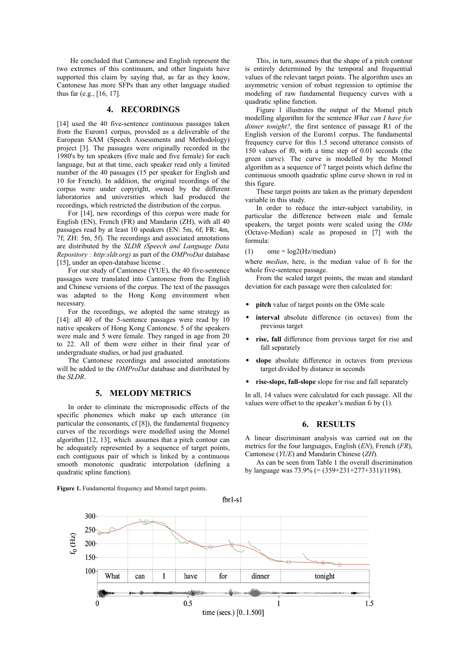He concluded that Cantonese and English represent the two extremes of this continuum, and other linguists have supported this claim by saying that, as far as they know, Cantonese has more SFPs than any other language studied thus far (e.g., [16, 17].

# **4. RECORDINGS**

[14] used the 40 five-sentence continuous passages taken from the Eurom1 corpus, provided as a deliverable of the European SAM (Speech Assessments and Methodology) project [3]. The passages were originally recorded in the 1980's by ten speakers (five male and five female) for each language, but at that time, each speaker read only a limited number of the 40 passages (15 per speaker for English and 10 for French). In addition, the original recordings of the corpus were under copyright, owned by the different laboratories and universities which had produced the recordings, which restricted the distribution of the corpus.

For [14], new recordings of this corpus were made for English (EN), French (FR) and Mandarin (ZH), with all 40 passages read by at least 10 speakers (EN: 5m, 6f; FR: 4m, 7f; ZH: 5m, 5f). The recordings and associated annotations are distributed by the *SLDR (Speech and Language Data Repository : http:sldr.org)* as part of the *OMProDat* database [15], under an open-database license .

For our study of Cantonese (YUE), the 40 five-sentence passages were translated into Cantonese from the English and Chinese versions of the corpus. The text of the passages was adapted to the Hong Kong environment when necessary.

For the recordings, we adopted the same strategy as [14]: all 40 of the 5-sentence passages were read by 10 native speakers of Hong Kong Cantonese. 5 of the speakers were male and 5 were female. They ranged in age from 20 to 22. All of them were either in their final year of undergraduate studies, or had just graduated.

The Cantonese recordings and associated annotations will be added to the *OMProDat* database and distributed by the *SLDR*.

#### **5. MELODY METRICS**

In order to eliminate the microprosodic effects of the specific phonemes which make up each utterance (in particular the consonants, cf [8]), the fundamental frequency curves of the recordings were modelled using the Momel algorithm [12, 13], which assumes that a pitch contour can be adequately represented by a sequence of target points, each contiguous pair of which is linked by a continuous smooth monotonic quadratic interpolation (defining a quadratic spline function).

**Figure 1.** Fundamental frequency and Momel target points.

This, in turn, assumes that the shape of a pitch contour is entirely determined by the temporal and frequential values of the relevant target points. The algorithm uses an asymmetric version of robust regression to optimise the modeling of raw fundamental frequency curves with a quadratic spline function.

Figure 1 illustrates the output of the Momel pitch modelling algorithm for the sentence *What can I have for dinner tonight?,* the first sentence of passage R1 of the English version of the Eurom1 corpus. The fundamental frequency curve for this 1.5 second utterance consists of 150 values of f0, with a time step of 0.01 seconds (the green curve). The curve is modelled by the Momel algorithm as a sequence of 7 target points which define the continuous smooth quadratic spline curve shown in red in this figure.

These target points are taken as the primary dependent variable in this study.

In order to reduce the inter-subject variability, in particular the difference between male and female speakers, the target points were scaled using the *OMe* (Octave-Median) scale as proposed in [7] with the formula:

#### (1) ome =  $log2(Hz/median)$

where *median*, here, is the median value of fo for the whole five-sentence passage.

From the scaled target points, the mean and standard deviation for each passage were then calculated for:

- **pitch** value of target points on the OMe scale
- **interval** absolute difference (in octaves) from the previous target
- **rise, fall** difference from previous target for rise and fall separately
- **slope** absolute difference in octaves from previous target divided by distance in seconds
- **rise-slope, fall-slope** slope for rise and fall separately

In all, 14 values were calculated for each passage. All the values were offset to the speaker's median fo by  $(1)$ .

### **6. RESULTS**

A linear discriminant analysis was carried out on the metrics for the four languages, English (*EN*), French (*FR*), Cantonese (*YUE*) and Mandarin Chinese (*ZH*).

As can be seen from Table 1 the overall discrimination by language was 73.9% (= (359+231+277+331)/1198).

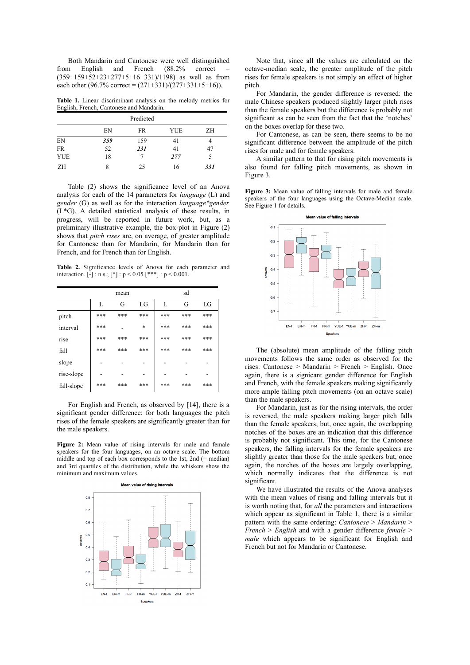Both Mandarin and Cantonese were well distinguished from English and French (88.2% correct (359+159+52+23+277+5+16+331)/1198) as well as from each other (96.7% correct =  $(271+331)/(277+331+5+16)$ ).

**Table 1.** Linear discriminant analysis on the melody metrics for English, French, Cantonese and Mandarin.

| Predicted  |     |     |     |     |  |  |  |
|------------|-----|-----|-----|-----|--|--|--|
|            | EN  | FR  | YUE | ΖH  |  |  |  |
| EN         | 359 | 159 | 41  |     |  |  |  |
| <b>FR</b>  | 52  | 231 | 41  | 47  |  |  |  |
| <b>YUE</b> | 18  |     | 277 | 5   |  |  |  |
| ΖH         | 8   | 25  | 16  | 331 |  |  |  |

Table (2) shows the significance level of an Anova analysis for each of the 14 parameters for *language* (L) and *gender* (G) as well as for the interaction *language\*gender* (L\*G). A detailed statistical analysis of these results, in progress, will be reported in future work, but, as a preliminary illustrative example, the box-plot in Figure (2) shows that *pitch rises* are, on average, of greater amplitude for Cantonese than for Mandarin, for Mandarin than for French, and for French than for English.

**Table 2.** Significance levels of Anova for each parameter and interaction.  $[-]$ : n.s.;  $[^{*}]$ :  $p < 0.05$   $[***]$ :  $p < 0.001$ .

|            | mean |     |     | sd  |     |     |
|------------|------|-----|-----|-----|-----|-----|
|            | L    | G   | LG  | L   | G   | LG  |
| pitch      | ***  | *** | *** | *** | *** | *** |
| interval   | ***  |     | *   | *** | *** | *** |
| rise       | ***  | *** | *** | *** | *** | *** |
| fall       | ***  | *** | *** | *** | *** | *** |
| slope      |      |     |     |     |     |     |
| rise-slope |      |     |     |     |     |     |
| fall-slope | ***  | *** | *** | *** | *** | *** |

For English and French, as observed by [14], there is a significant gender difference: for both languages the pitch rises of the female speakers are significantly greater than for the male speakers.

**Figure 2:** Mean value of rising intervals for male and female speakers for the four languages, on an octave scale. The bottom middle and top of each box corresponds to the 1st, 2nd (= median) and 3rd quartiles of the distribution, while the whiskers show the minimum and maximum values.



Note that, since all the values are calculated on the octave-median scale, the greater amplitude of the pitch rises for female speakers is not simply an effect of higher pitch.

For Mandarin, the gender difference is reversed: the male Chinese speakers produced slightly larger pitch rises than the female speakers but the difference is probably not significant as can be seen from the fact that the 'notches' on the boxes overlap for these two.

For Cantonese, as can be seen, there seems to be no significant difference between the amplitude of the pitch rises for male and for female speakers.

A similar pattern to that for rising pitch movements is also found for falling pitch movements, as shown in Figure 3.

**Figure 3:** Mean value of falling intervals for male and female speakers of the four languages using the Octave-Median scale. See Figure 1 for details.



The (absolute) mean amplitude of the falling pitch movements follows the same order as observed for the rises: Cantonese > Mandarin > French > English. Once again, there is a signicant gender difference for English and French, with the female speakers making significantly more ample falling pitch movements (on an octave scale) than the male speakers.

For Mandarin, just as for the rising intervals, the order is reversed, the male speakers making larger pitch falls than the female speakers; but, once again, the overlapping notches of the boxes are an indication that this difference is probably not significant. This time, for the Cantonese speakers, the falling intervals for the female speakers are slightly greater than those for the male speakers but, once again, the notches of the boxes are largely overlapping, which normally indicates that the difference is not significant.

We have illustrated the results of the Anova analyses with the mean values of rising and falling intervals but it is worth noting that, for *all* the parameters and interactions which appear as significant in Table 1, there is a similar pattern with the same ordering: *Cantonese* > *Mandarin* > *French* > *English* and with a gender difference *female* > *male* which appears to be significant for English and French but not for Mandarin or Cantonese.